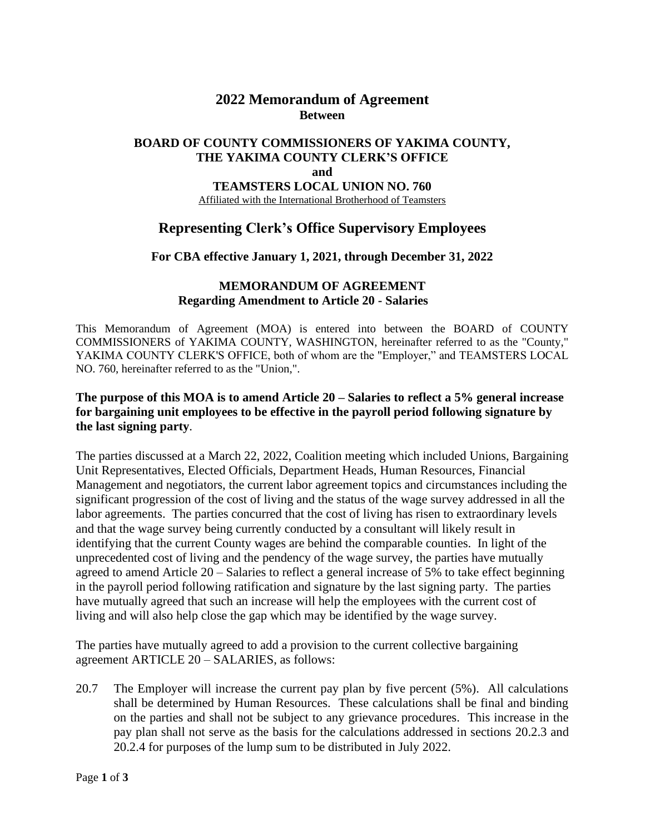# **2022 Memorandum of Agreement Between**

## **BOARD OF COUNTY COMMISSIONERS OF YAKIMA COUNTY, THE YAKIMA COUNTY CLERK'S OFFICE and TEAMSTERS LOCAL UNION NO. 760**

Affiliated with the International Brotherhood of Teamsters

# **Representing Clerk's Office Supervisory Employees**

## **For CBA effective January 1, 2021, through December 31, 2022**

#### **MEMORANDUM OF AGREEMENT Regarding Amendment to Article 20 - Salaries**

This Memorandum of Agreement (MOA) is entered into between the BOARD of COUNTY COMMISSIONERS of YAKIMA COUNTY, WASHINGTON, hereinafter referred to as the "County," YAKIMA COUNTY CLERK'S OFFICE, both of whom are the "Employer," and TEAMSTERS LOCAL NO. 760, hereinafter referred to as the "Union,".

## **The purpose of this MOA is to amend Article 20 – Salaries to reflect a 5% general increase for bargaining unit employees to be effective in the payroll period following signature by the last signing party**.

The parties discussed at a March 22, 2022, Coalition meeting which included Unions, Bargaining Unit Representatives, Elected Officials, Department Heads, Human Resources, Financial Management and negotiators, the current labor agreement topics and circumstances including the significant progression of the cost of living and the status of the wage survey addressed in all the labor agreements. The parties concurred that the cost of living has risen to extraordinary levels and that the wage survey being currently conducted by a consultant will likely result in identifying that the current County wages are behind the comparable counties. In light of the unprecedented cost of living and the pendency of the wage survey, the parties have mutually agreed to amend Article 20 – Salaries to reflect a general increase of 5% to take effect beginning in the payroll period following ratification and signature by the last signing party. The parties have mutually agreed that such an increase will help the employees with the current cost of living and will also help close the gap which may be identified by the wage survey.

The parties have mutually agreed to add a provision to the current collective bargaining agreement ARTICLE 20 – SALARIES, as follows:

20.7 The Employer will increase the current pay plan by five percent (5%). All calculations shall be determined by Human Resources. These calculations shall be final and binding on the parties and shall not be subject to any grievance procedures. This increase in the pay plan shall not serve as the basis for the calculations addressed in sections 20.2.3 and 20.2.4 for purposes of the lump sum to be distributed in July 2022.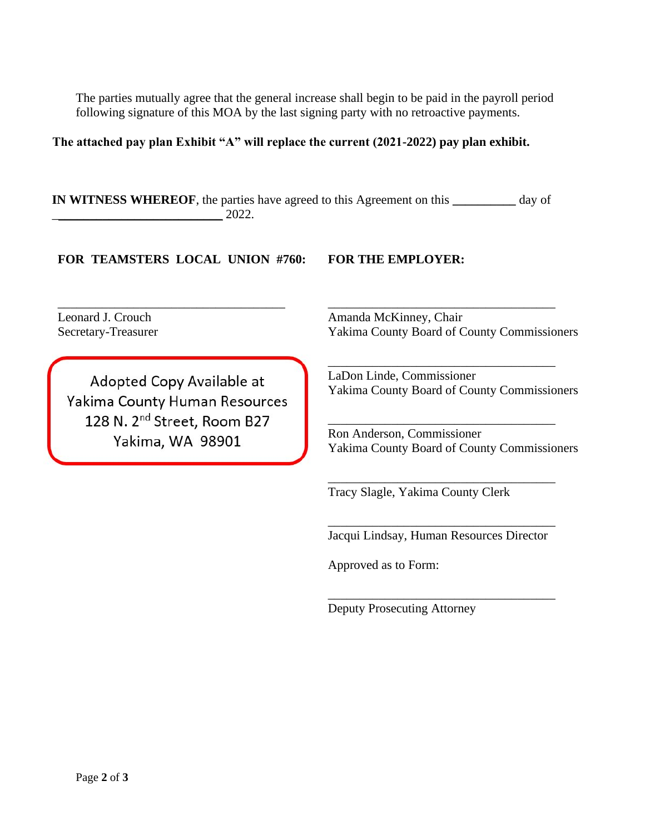The parties mutually agree that the general increase shall begin to be paid in the payroll period following signature of this MOA by the last signing party with no retroactive payments.

## **The attached pay plan Exhibit "A" will replace the current (2021-2022) pay plan exhibit.**

**IN WITNESS WHEREOF**, the parties have agreed to this Agreement on this **\_\_\_\_\_\_\_\_\_\_** day of \_\_\_\_\_\_\_\_\_\_\_\_\_\_\_\_\_\_\_\_\_\_\_\_\_\_\_ 2022.

## **FOR TEAMSTERS LOCAL UNION #760: FOR THE EMPLOYER:**

\_\_\_\_\_\_\_\_\_\_\_\_\_\_\_\_\_\_\_\_\_\_\_\_\_\_\_\_\_\_\_\_\_\_\_\_

Leonard J. Crouch Secretary-Treasurer

Adopted Copy Available at Yakima County Human Resources 128 N. 2<sup>nd</sup> Street, Room B27 Yakima, WA 98901

Amanda McKinney, Chair Yakima County Board of County Commissioners

\_\_\_\_\_\_\_\_\_\_\_\_\_\_\_\_\_\_\_\_\_\_\_\_\_\_\_\_\_\_\_\_\_\_\_\_

\_\_\_\_\_\_\_\_\_\_\_\_\_\_\_\_\_\_\_\_\_\_\_\_\_\_\_\_\_\_\_\_\_\_\_\_

\_\_\_\_\_\_\_\_\_\_\_\_\_\_\_\_\_\_\_\_\_\_\_\_\_\_\_\_\_\_\_\_\_\_\_\_

\_\_\_\_\_\_\_\_\_\_\_\_\_\_\_\_\_\_\_\_\_\_\_\_\_\_\_\_\_\_\_\_\_\_\_\_

LaDon Linde, Commissioner Yakima County Board of County Commissioners

Ron Anderson, Commissioner Yakima County Board of County Commissioners

Tracy Slagle, Yakima County Clerk

\_\_\_\_\_\_\_\_\_\_\_\_\_\_\_\_\_\_\_\_\_\_\_\_\_\_\_\_\_\_\_\_\_\_\_\_ Jacqui Lindsay, Human Resources Director

\_\_\_\_\_\_\_\_\_\_\_\_\_\_\_\_\_\_\_\_\_\_\_\_\_\_\_\_\_\_\_\_\_\_\_\_

Approved as to Form:

Deputy Prosecuting Attorney